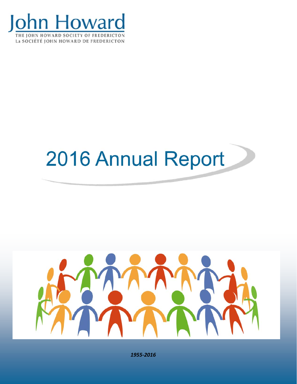

# 2016 Annual Report



1955-2016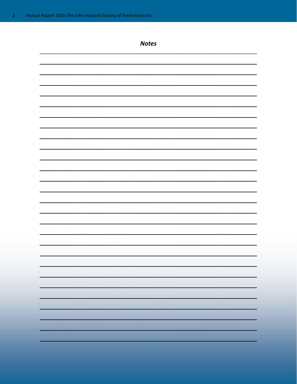| <b>Notes</b> |
|--------------|
|              |
|              |
|              |
|              |
|              |
|              |
|              |
|              |
|              |
|              |
|              |
|              |
|              |
|              |
|              |
|              |
|              |
|              |
|              |
|              |
|              |
|              |
|              |
|              |
|              |
|              |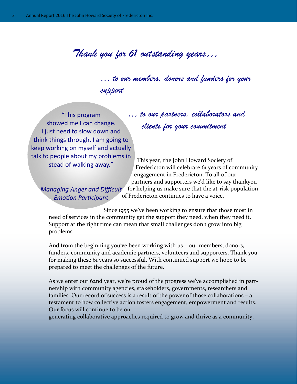# *Thank you for 61 outstanding years…*

 *… to our members, donors and funders for your support* 

"This program showed me I can change. I just need to slow down and think things through. I am going to keep working on myself and actually talk to people about my problems in stead of walking away."

 *… to our partners, collaborators and clients for your commitment* 

 This year, the John Howard Society of Fredericton will celebrate 61 years of community engagement in Fredericton. To all of our partners and supporters we'd like to say thankyou

for helping us make sure that the at‐risk population

*Managing Anger and Difficult EmoƟon ParƟcipant*

V.

of Fredericton continues to have a voice.

 Since 1955 we've been working to ensure that those most in need of services in the community get the support they need, when they need it. Support at the right time can mean that small challenges don't grow into big problems.

And from the beginning you've been working with us – our members, donors, funders, community and academic partners, volunteers and supporters. Thank you for making these 61 years so successful. With continued support we hope to be prepared to meet the challenges of the future.

As we enter our 62nd year, we're proud of the progress we've accomplished in part‐ nership with community agencies, stakeholders, governments, researchers and families. Our record of success is a result of the power of those collaborations – a testament to how collective action fosters engagement, empowerment and results. Our focus will continue to be on

generating collaborative approaches required to grow and thrive as a community.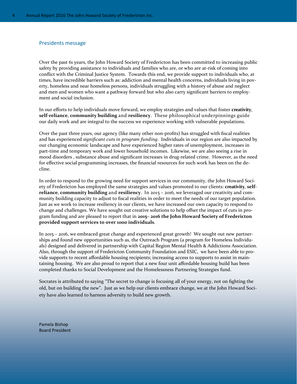## Presidents message

Over the past 61 years, the John Howard Society of Fredericton has been committed to increasing public safety by providing assistance to individuals and families who are, or who are at-risk of coming into conflict with the Criminal Justice System. Towards this end, we provide support to individuals who, at times, have incredible barriers such as: addiction and mental health concerns, individuals living in poverty, homeless and near homeless persons, individuals struggling with a history of abuse and neglect and men and women who want a pathway forward but who also carry significant barriers to employment and social inclusion.

In our efforts to help individuals move forward, we employ strategies and values that foster **creativity**, **self‐reliance**, **community building** and **resiliency**. These philosophical underpinnings guide our daily work and are integral to the success we experience working with vulnerable populations.

Over the past three years, our agency (like many other non‐profits) has struggled with fiscal realities and has experienced *significant cuts in program funding*. Individuals in our region are also impacted by our changing economic landscape and have experienced higher rates of unemployment, increases in part-time and temporary work and lower household incomes. Likewise, we are also seeing a rise in mood disorders, substance abuse and significant increases in drug-related crime. However, as the need for effective social programming increases, the financial resources for such work has been on the decline.

In order to respond to the growing need for support services in our community, the John Howard Society of Fredericton has employed the same strategies and values promoted to our clients: **creativity**, **self‐ reliance**, **community building** and **resiliency**. In 2015 – 2016, we leveraged our creativity and com‐ munity building capacity to adjust to fiscal realities in order to meet the needs of our target population. Just as we work to increase resiliency in our clients, we have increased our own capacity to respond to change and challenges. We have sought out creative solutions to help offset the impact of cuts in pro‐ gram funding and are pleased to report that in **2015– 2016 the John Howard Society of Fredericton provided support services to over 1000 individuals**.

In 2015 – 2016, we embraced great change and experienced great growth! We sought out new partner‐ ships and found new opportunities such as, the Outreach Program (a program for Homeless Individuals) designed and delivered in partnership with Capital Region Mental Health & Addictions Association. Also, through the support of Fredericton Community Foundation and ESIC, we have been able to pro‐ vide supports to recent affordable housing recipients; increasing access to supports to assist in main‐ taining housing. We are also proud to report that a new four unit affordable housing build has been completed thanks to Social Development and the Homelessness Partnering Strategies fund.

Socrates is attributed to saying "The secret to change is focusing all of your energy, not on fighting the old, but on building the new". Just as we help our clients embrace change, we at the John Howard Society have also learned to harness adversity to build new growth.

Pamela Bishop Board President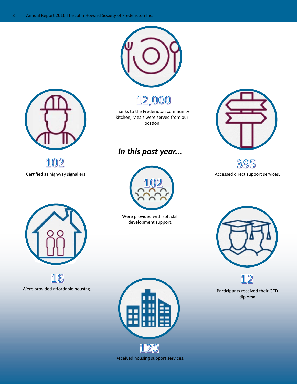

12,000

Thanks to the Fredericton community kitchen, Meals were served from our location.

## *In this past year...*



Were provided with soft skill development support.



395



102

16 Were provided affordable housing.



Received housing support services.



Participants received their GED diploma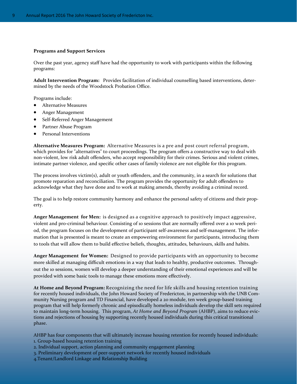## **Programs and Support Services**

Over the past year, agency staff have had the opportunity to work with participants within the following programs:

**Adult Intervention Program:** Provides facilitation of individual counselling based interventions, deter‐ mined by the needs of the Woodstock Probation Office.

Programs include:

- Alternative Measures
- Anger Management
- Self‐Referred Anger Management
- Partner Abuse Program
- Personal Interventions

**Alternative Measures Program:** Alternative Measures is a pre and post court referral program, which provides for "alternatives" to court proceedings. The program offers a constructive way to deal with non‐violent, low risk adult offenders, who accept responsibility for their crimes. Serious and violent crimes, intimate partner violence, and specific other cases of family violence are not eligible for this program.

The process involves victim(s), adult or youth offenders, and the community, in a search for solutions that promote reparation and reconciliation. The program provides the opportunity for adult offenders to acknowledge what they have done and to work at making amends, thereby avoiding a criminal record.

The goal is to help restore community harmony and enhance the personal safety of citizens and their property.

**Anger Management for Men:** is designed as a cognitive approach to positively impact aggressive, violent and pro-criminal behaviour. Consisting of 10 sessions that are normally offered over a 10 week period, the program focuses on the development of participant self‐awareness and self‐management. The infor‐ mation that is presented is meant to create an empowering environment for participants, introducing them to tools that will allow them to build effective beliefs, thoughts, attitudes, behaviours, skills and habits.

**Anger Management for Women:** Designed to provide participants with an opportunity to become more skilled at managing difficult emotions in a way that leads to healthy, productive outcomes. Throughout the 10 sessions, women will develop a deeper understanding of their emotional experiences and will be provided with some basic tools to manage these emotions more effectively.

**At Home and Beyond Program:** Recognizing the need for life skills and housing retention training for recently housed individuals, the John Howard Society of Fredericton, in partnership with the UNB Community Nursing program and TD Financial, have developed a 20 module, ten week group-based training program that will help formerly chronic and episodically homeless individuals develop the skill sets required to maintain long-term housing. This program, *At Home and Beyond Program* (AHBP), aims to reduce evictions and rejections of housing by supporting recently housed individuals during this critical transitional phase.

AHBP has four components that will ultimately increase housing retention for recently housed individuals: 1. Group‐based housing retention training

- 2. Individual support, action planning and community engagement planning
- 3. Preliminary development of peer‐support network for recently housed individuals
- 4.Tenant/Landlord Linkage and Relationship Building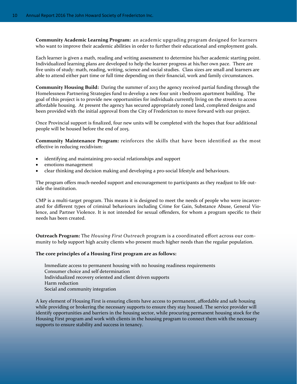**Community Academic Learning Program:** an academic upgrading program designed for learners who want to improve their academic abilities in order to further their educational and employment goals.

Each learner is given a math, reading and writing assessment to determine his/her academic starting point. Individualized learning plans are developed to help the learner progress at his/her own pace. There are five units of study: math, reading, writing, science and social studies. Class sizes are small and learners are able to attend either part time or full time depending on their financial, work and family circumstances.

**Community Housing Build:** During the summer of 2013 the agency received partial funding through the Homelessness Partnering Strategies fund to develop a new four unit 1 bedroom apartment building. The goal of this project is to provide new opportunities for individuals currently living on the streets to access affordable housing. At present the agency has secured appropriately zoned land, completed designs and been provided with the initial approval from the City of Fredericton to move forward with our project.

Once Provincial support is finalized, four new units will be completed with the hopes that four additional people will be housed before the end of 2015.

**Community Maintenance Program:** reinforces the skills that have been identified as the most effective in reducing recidivism:

- identifying and maintaining pro‐social relationships and support
- emotions management
- clear thinking and decision making and developing a pro‐social lifestyle and behaviours.

The program offers much-needed support and encouragement to participants as they readjust to life outside the institution.

CMP is a multi-target program. This means it is designed to meet the needs of people who were incarcerated for different types of criminal behaviours including Crime for Gain, Substance Abuse, General Violence, and Partner Violence. It is not intended for sexual offenders, for whom a program specific to their needs has been created.

**Outreach Program:** The *Housing First Outreach* program is a coordinated effort across our com‐ munity to help support high acuity clients who present much higher needs than the regular population.

## **The core principles of a Housing First program are as follows:**

Immediate access to permanent housing with no housing readiness requirements Consumer choice and self determination Individualized recovery oriented and client driven supports Harm reduction Social and community integration

A key element of Housing First is ensuring clients have access to permanent, affordable and safe housing while providing or brokering the necessary supports to ensure they stay housed. The service provider will identify opportunities and barriers in the housing sector, while procuring permanent housing stock for the Housing First program and work with clients in the housing program to connect them with the necessary supports to ensure stability and success in tenancy.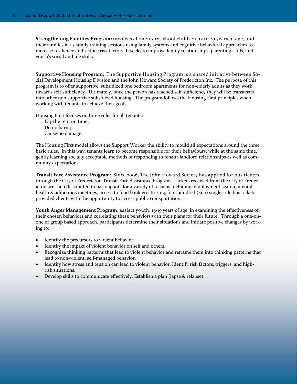**Strengthening Families Program:** involves elementary school children, 12 to 20 years of age, and their families in 14 family training sessions using family systems and cognitive behavioral approaches to increase resilience and reduce risk factors. It seeks to improve family relationships, parenting skills, and youth's social and life skills.

**Supportive Housing Program:** The Supportive Housing Program is a shared initiative between So‐ cial Development Housing Division and the John Howard Society of Fredericton Inc. The purpose of this program is to offer supportive, subsidized one bedroom apartments for non‐elderly adults as they work towards self‐sufficiency. Ultimately, once the person has reached self‐sufficiency they will be transferred into other non supportive subsidized housing. The program follows the Housing First principles when working with tenants to achieve their goals.

Housing First focuses on three rules for all tenants:

Pay the rent on time; Do no harm; Cause no damage.

The Housing First model allows the Support Worker the ability to mould all expectations around the three basic rules. In this way, tenants learn to become responsible for their behaviours, while at the same time, gently learning socially acceptable methods of responding to tenant-landlord relationships as well as community expectations.

**Transit Fare Assistance Program:** Since 2006, The John Howard Society has applied for bus tickets through the City of Fredericton Transit Fare Assistance Program. Tickets received from the City of Freder‐ icton are then distributed to participants for a variety of reasons including: employment search, mental health & addictions meetings, access to food bank etc. In 2013, four hundred (400) single-ride bus tickets provided clients with the opportunity to access public transportation.

**Youth Anger Management Program:** assists youth, 15‐19 years of age, in examining the effectiveness of their chosen behaviors and correlating these behaviors with their plans for their future. Through a one-onone or group based approach, participants determine their situations and initiate positive changes by work‐ ing to:

- Identify the precursors to violent behavior.
- Identify the impact of violent behavior on self and others.
- Recognize thinking patterns that lead to violent behavior and reframe them into thinking patterns that lead to non‐violent, self‐managed behavior.
- Identify how stress and tension can lead to violent behavior. Identify risk factors, triggers, and highrisk situations.
- Develop skills to communicate effectively. Establish a plan (lapse & relapse).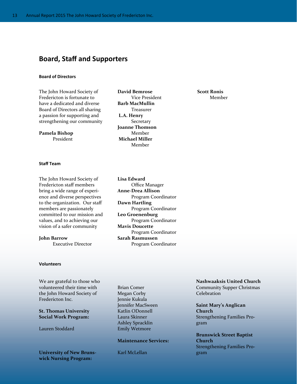## **Board, Staff and Supporters**

### **Board of Directors**

The John Howard Society of Fredericton is fortunate to have a dedicated and diverse Board of Directors all sharing a passion for supporting and strengthening our community

**Pamela Bishop**  President

**David Bemrose**  Vice President **Barb MacMullin**  Treasurer  **L.A. Henry**  Secretary **Joanne Thomson**  Member  **Michael Miller**  Member

#### **Staff Team**

The John Howard Society of Fredericton staff members bring a wide range of experi‐ ence and diverse perspectives to the organization. Our staff members are passionately committed to our mission and values, and to achieving our vision of a safer community

**John Barrow**  Executive Director

## **Volunteers**

We are grateful to those who volunteered their time with the John Howard Society of Fredericton Inc.

**St. Thomas University Social Work Program:** 

Lauren Stoddard

**University of New Bruns‐ wick Nursing Program:** 

**Lisa Edward**  Office Manager **Anne‐Drea Allison**  Program Coordinator **Dawn Hartling**  Program Coordinator **Leo Groenenburg**  Program Coordinator **Mavis Doucette**  Program Coordinator **Sarah Rasmussen**  Program Coordinator

Brian Comer Megan Corby Jennie Kukula Jennifer MacSween Katlin ODonnell Laura Skinner Ashley Spracklin Emily Wetmore

## **Maintenance Services:**

Karl McLellan

**Nashwaaksis United Church**  Community Supper Christmas Celebration

 **Scott Ronis** 

Member

**Saint Mary's Anglican Church**  Strengthening Families Pro‐ gram

**Brunswick Street Baptist Church**  Strengthening Families Pro‐ gram